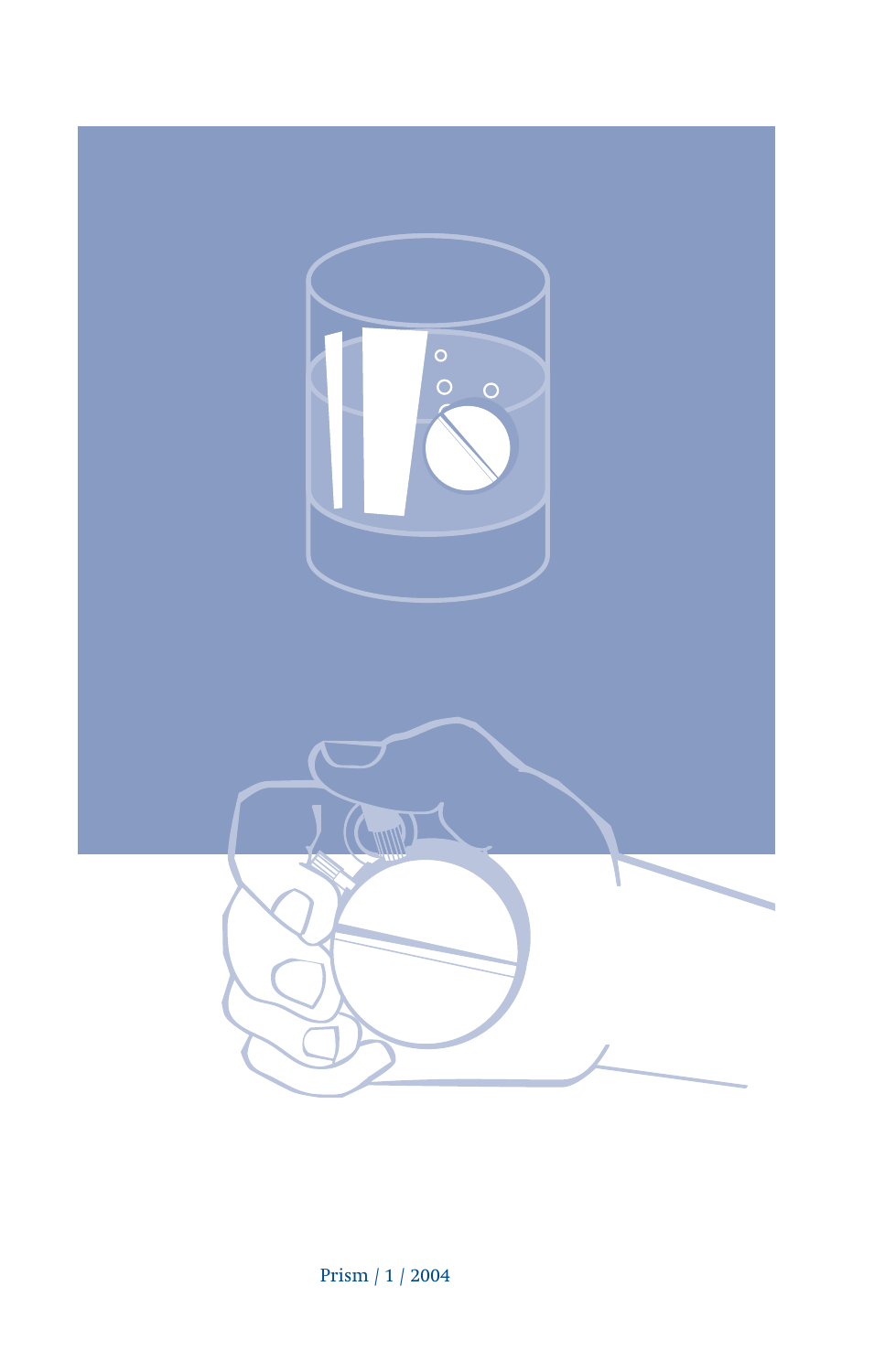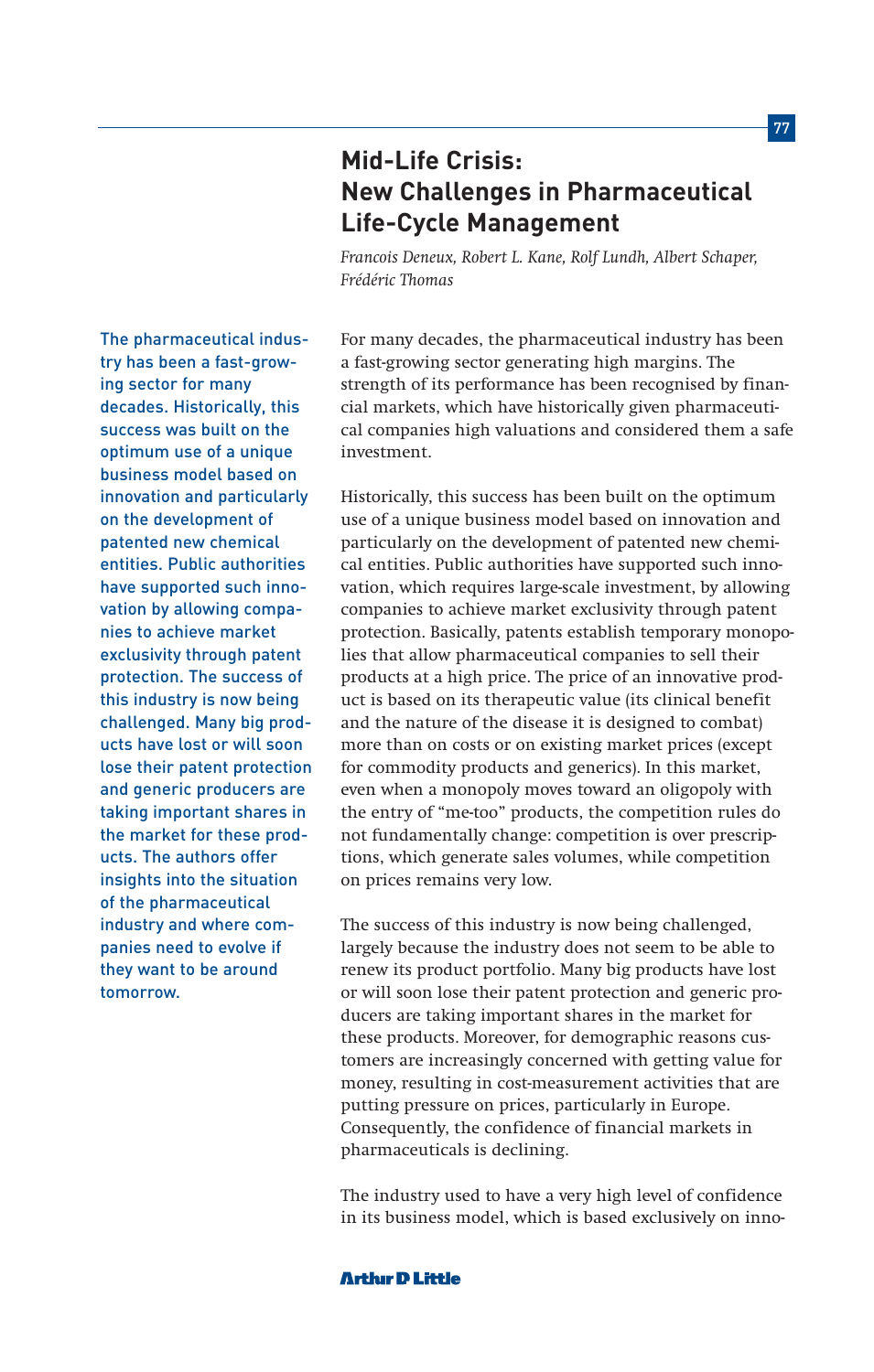*Frédéric Thomas* The pharmaceutical industry has been a fast-growdecades. Historically, this success was built on the

Historically, this success has been built on the optimum use of a unique business model based on innovation and particularly on the development of patented new chemical entities. Public authorities have supported such innovation, which requires large-scale investment, by allowing companies to achieve market exclusivity through patent protection. Basically, patents establish temporary monopolies that allow pharmaceutical companies to sell their products at a high price. The price of an innovative product is based on its therapeutic value (its clinical benefit and the nature of the disease it is designed to combat) more than on costs or on existing market prices (except for commodity products and generics). In this market, even when a monopoly moves toward an oligopoly with the entry of "me-too" products, the competition rules do not fundamentally change: competition is over prescriptions, which generate sales volumes, while competition on prices remains very low.

The success of this industry is now being challenged, largely because the industry does not seem to be able to renew its product portfolio. Many big products have lost or will soon lose their patent protection and generic producers are taking important shares in the market for these products. Moreover, for demographic reasons customers are increasingly concerned with getting value for money, resulting in cost-measurement activities that are putting pressure on prices, particularly in Europe. Consequently, the confidence of financial markets in pharmaceuticals is declining.

The industry used to have a very high level of confidence in its business model, which is based exclusively on inno-

For many decades, the pharmaceutical industry has been a fast-growing sector generating high margins. The strength of its performance has been recognised by financial markets, which have historically given pharmaceutical companies high valuations and considered them a safe investment.

optimum use of a unique business model based on innovation and particularly on the development of patented new chemical entities. Public authorities have supported such innovation by allowing companies to achieve market exclusivity through patent protection. The success of this industry is now being challenged. Many big products have lost or will soon lose their patent protection and generic producers are taking important shares in the market for these products. The authors offer insights into the situation of the pharmaceutical industry and where companies need to evolve if they want to be around tomorrow.

ing sector for many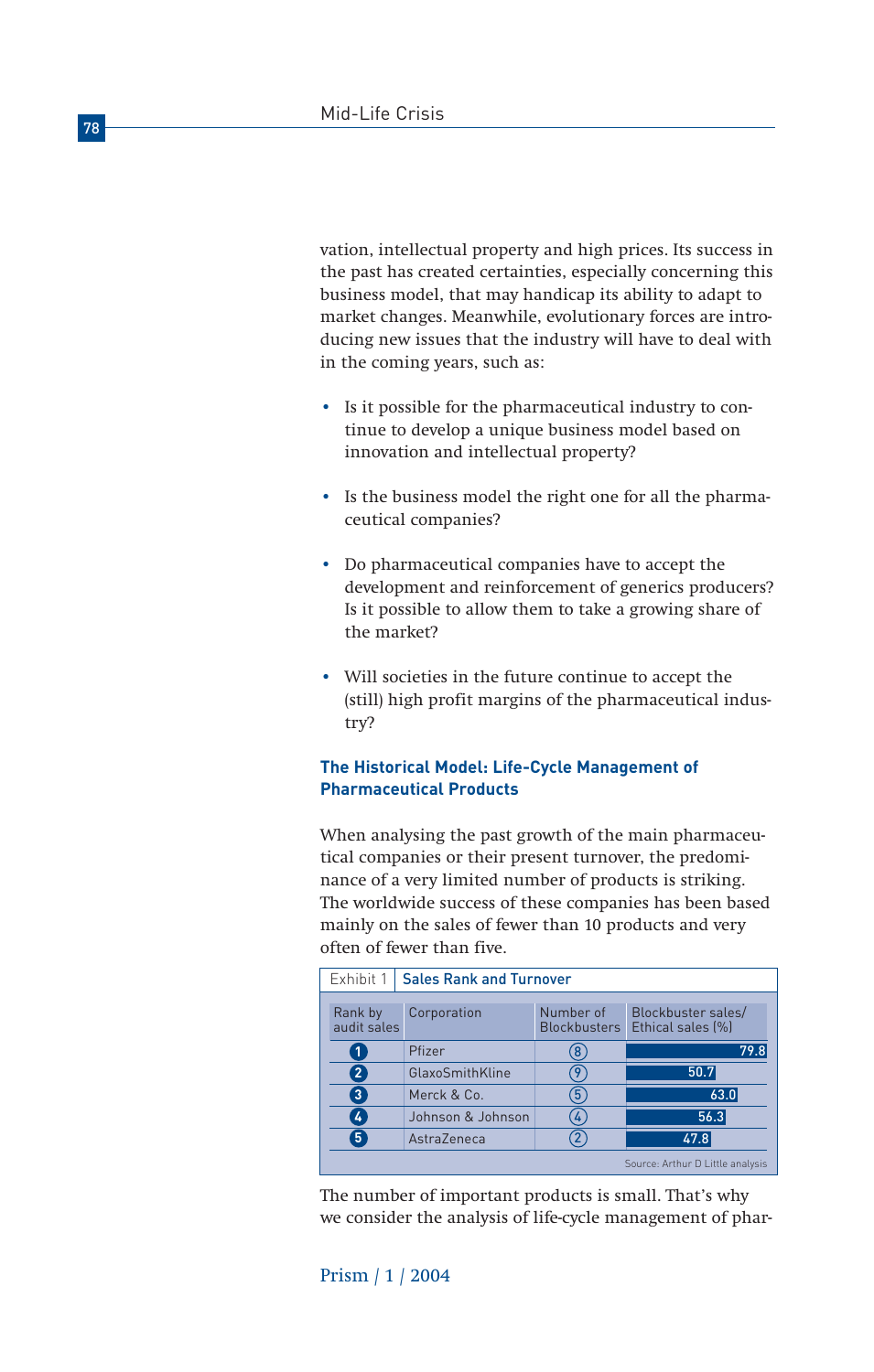vation, intellectual property and high prices. Its success in the past has created certainties, especially concerning this business model, that may handicap its ability to adapt to market changes. Meanwhile, evolutionary forces are introducing new issues that the industry will have to deal with in the coming years, such as:

- Is it possible for the pharmaceutical industry to continue to develop a unique business model based on innovation and intellectual property?
- Is the business model the right one for all the pharmaceutical companies?
- Do pharmaceutical companies have to accept the development and reinforcement of generics producers? Is it possible to allow them to take a growing share of the market?
- Will societies in the future continue to accept the (still) high profit margins of the pharmaceutical industry?

# **The Historical Model: Life-Cycle Management of Pharmaceutical Products**

When analysing the past growth of the main pharmaceutical companies or their present turnover, the predominance of a very limited number of products is striking. The worldwide success of these companies has been based mainly on the sales of fewer than 10 products and very often of fewer than five.

| <b>Sales Rank and Turnover</b><br>Exhibit 1 |                        |                   |                                  |                                         |  |
|---------------------------------------------|------------------------|-------------------|----------------------------------|-----------------------------------------|--|
|                                             | Rank by<br>audit sales | Corporation       | Number of<br><b>Blockbusters</b> | Blockbuster sales/<br>Ethical sales [%] |  |
|                                             | 1                      | Pfizer            | 8                                | 79.8                                    |  |
|                                             | $\overline{2}$         | GlaxoSmithKline   | 9                                | 50.7                                    |  |
|                                             | $\mathbf{3}^{\prime}$  | Merck & Co.       | 5                                | 63.0                                    |  |
|                                             | $\overline{4}$         | Johnson & Johnson | 4                                | 56.3                                    |  |
|                                             | 5 <sup>2</sup>         | AstraZeneca       |                                  | 47.8                                    |  |
|                                             |                        |                   |                                  | Source: Arthur D Little analysis        |  |

The number of important products is small. That's why we consider the analysis of life-cycle management of phar-



# Prism / 1 / 2004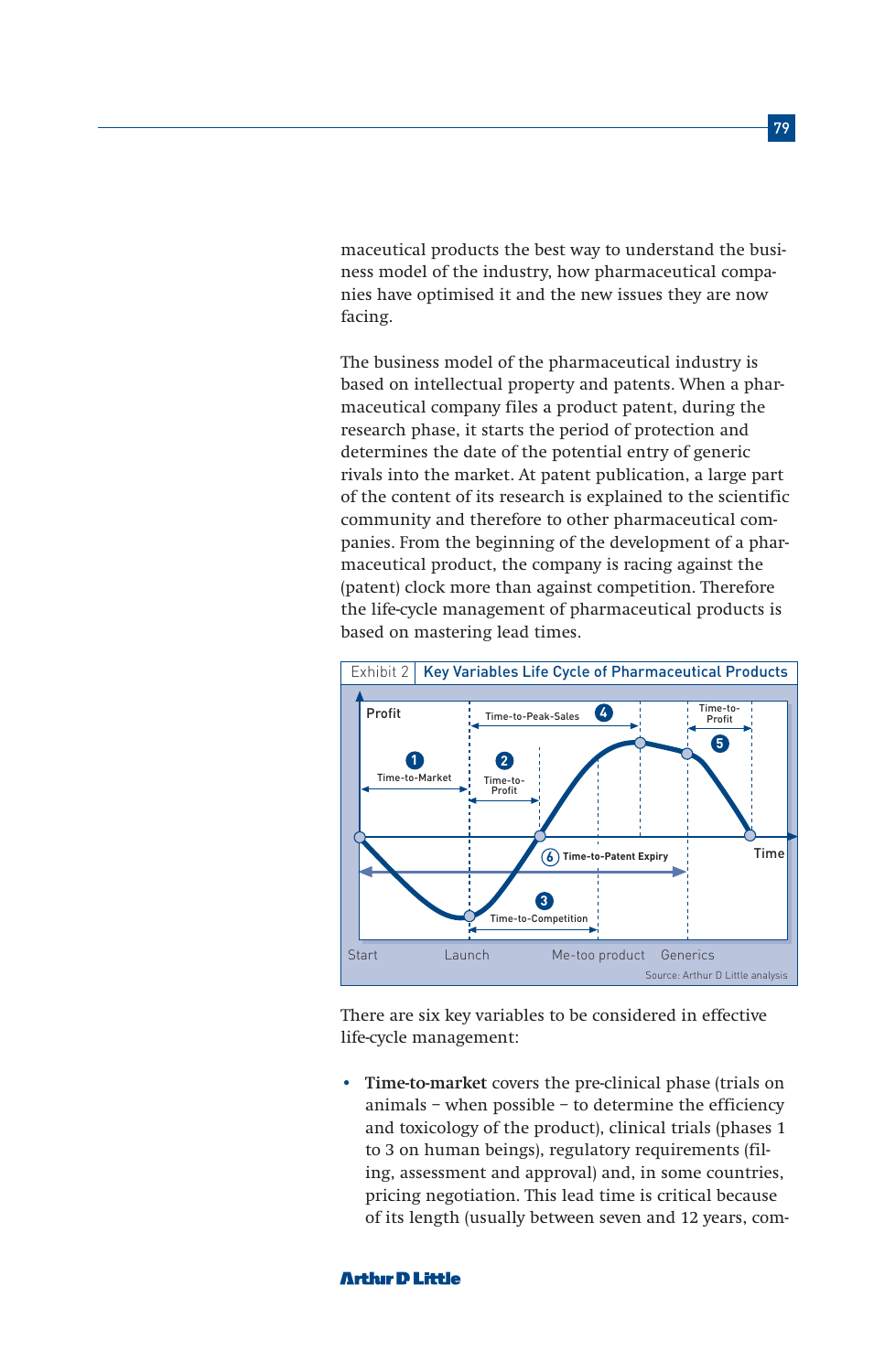maceutical products the best way to understand the business model of the industry, how pharmaceutical companies have optimised it and the new issues they are now facing.

The business model of the pharmaceutical industry is based on intellectual property and patents. When a pharmaceutical company files a product patent, during the research phase, it starts the period of protection and determines the date of the potential entry of generic rivals into the market. At patent publication, a large part of the content of its research is explained to the scientific community and therefore to other pharmaceutical companies. From the beginning of the development of a pharmaceutical product, the company is racing against the (patent) clock more than against competition. Therefore the life-cycle management of pharmaceutical products is based on mastering lead times.



There are six key variables to be considered in effective life-cycle management:

• **Time-to-market** covers the pre-clinical phase (trials on animals – when possible – to determine the efficiency and toxicology of the product), clinical trials (phases 1 to 3 on human beings), regulatory requirements (filing, assessment and approval) and, in some countries, pricing negotiation. This lead time is critical because of its length (usually between seven and 12 years, com-

#### **Arthir D Little**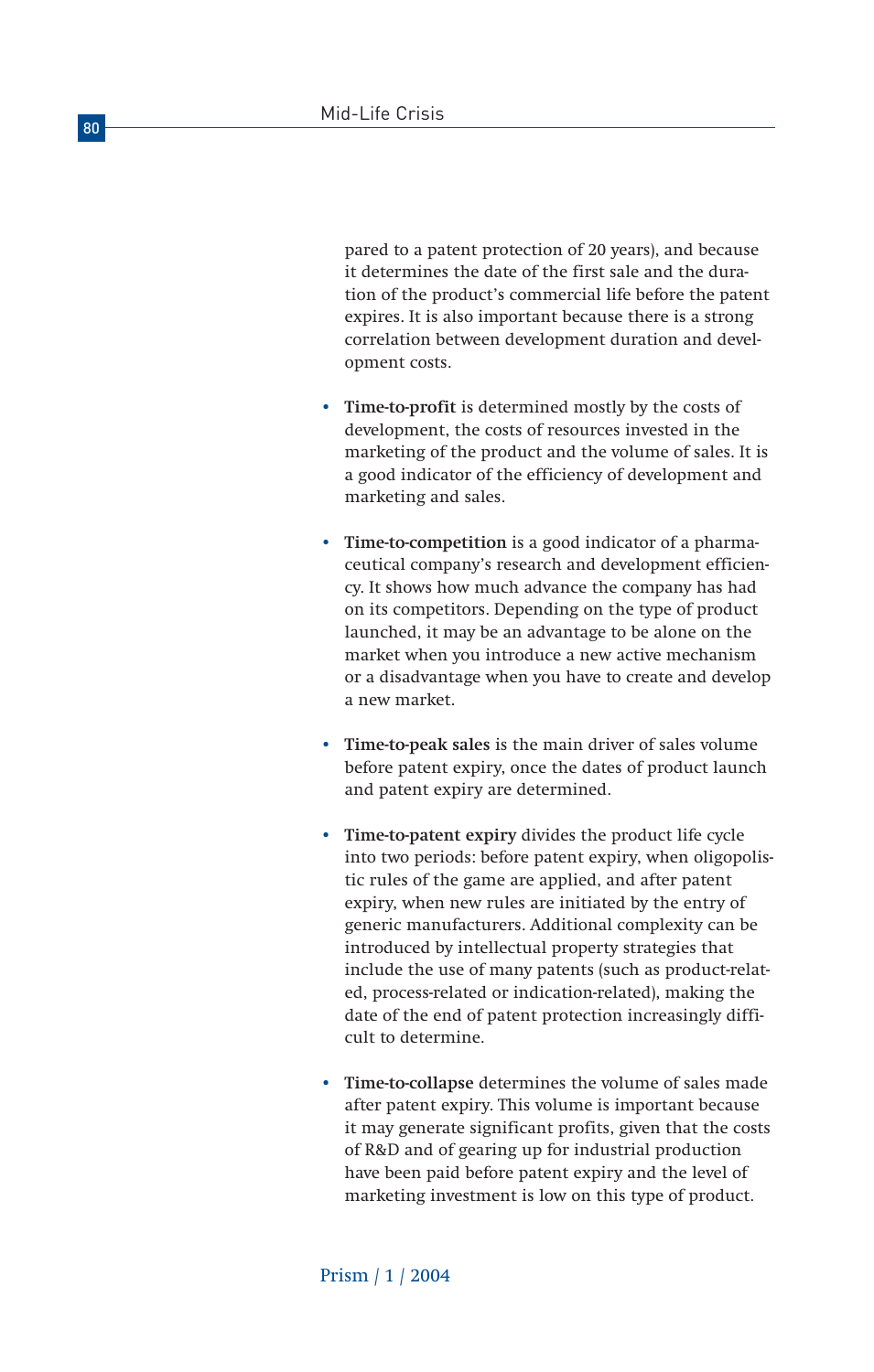pared to a patent protection of 20 years), and because it determines the date of the first sale and the duration of the product's commercial life before the patent expires. It is also important because there is a strong correlation between development duration and development costs.

- **Time-to-profit** is determined mostly by the costs of development, the costs of resources invested in the marketing of the product and the volume of sales. It is a good indicator of the efficiency of development and marketing and sales.
- **Time-to-competition** is a good indicator of a pharmaceutical company's research and development efficiency. It shows how much advance the company has had on its competitors. Depending on the type of product launched, it may be an advantage to be alone on the market when you introduce a new active mechanism or a disadvantage when you have to create and develop a new market.
- **Time-to-peak sales** is the main driver of sales volume before patent expiry, once the dates of product launch and patent expiry are determined.
- **Time-to-patent expiry** divides the product life cycle into two periods: before patent expiry, when oligopolistic rules of the game are applied, and after patent expiry, when new rules are initiated by the entry of generic manufacturers. Additional complexity can be introduced by intellectual property strategies that include the use of many patents (such as product-related, process-related or indication-related), making the date of the end of patent protection increasingly difficult to determine.
- **Time-to-collapse** determines the volume of sales made after patent expiry. This volume is important because it may generate significant profits, given that the costs of R&D and of gearing up for industrial production have been paid before patent expiry and the level of marketing investment is low on this type of product.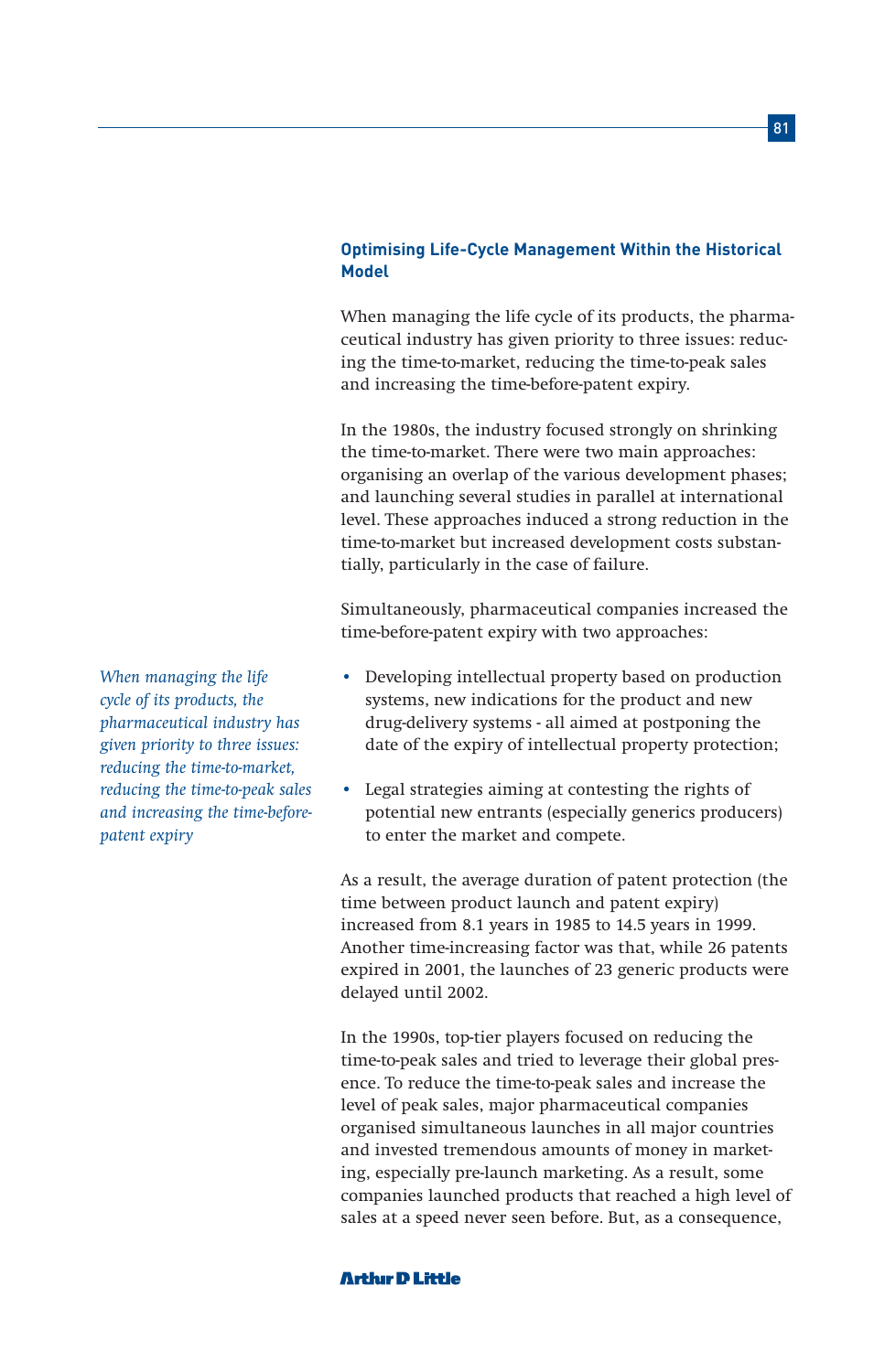# **Optimising Life-Cycle Management Within the Historical Model**

When managing the life cycle of its products, the pharmaceutical industry has given priority to three issues: reducing the time-to-market, reducing the time-to-peak sales and increasing the time-before-patent expiry.

In the 1980s, the industry focused strongly on shrinking the time-to-market. There were two main approaches: organising an overlap of the various development phases; and launching several studies in parallel at international level. These approaches induced a strong reduction in the time-to-market but increased development costs substantially, particularly in the case of failure.

Simultaneously, pharmaceutical companies increased the time-before-patent expiry with two approaches:

- Developing intellectual property based on production systems, new indications for the product and new drug-delivery systems - all aimed at postponing the date of the expiry of intellectual property protection;
- Legal strategies aiming at contesting the rights of potential new entrants (especially generics producers) to enter the market and compete.

As a result, the average duration of patent protection (the time between product launch and patent expiry) increased from 8.1 years in 1985 to 14.5 years in 1999. Another time-increasing factor was that, while 26 patents expired in 2001, the launches of 23 generic products were delayed until 2002.

In the 1990s, top-tier players focused on reducing the time-to-peak sales and tried to leverage their global presence. To reduce the time-to-peak sales and increase the level of peak sales, major pharmaceutical companies organised simultaneous launches in all major countries and invested tremendous amounts of money in marketing, especially pre-launch marketing. As a result, some companies launched products that reached a high level of sales at a speed never seen before. But, as a consequence,

*When managing the life cycle of its products, the pharmaceutical industry has given priority to three issues: reducing the time-to-market, reducing the time-to-peak sales and increasing the time-beforepatent expiry*

### **Arthir D Little**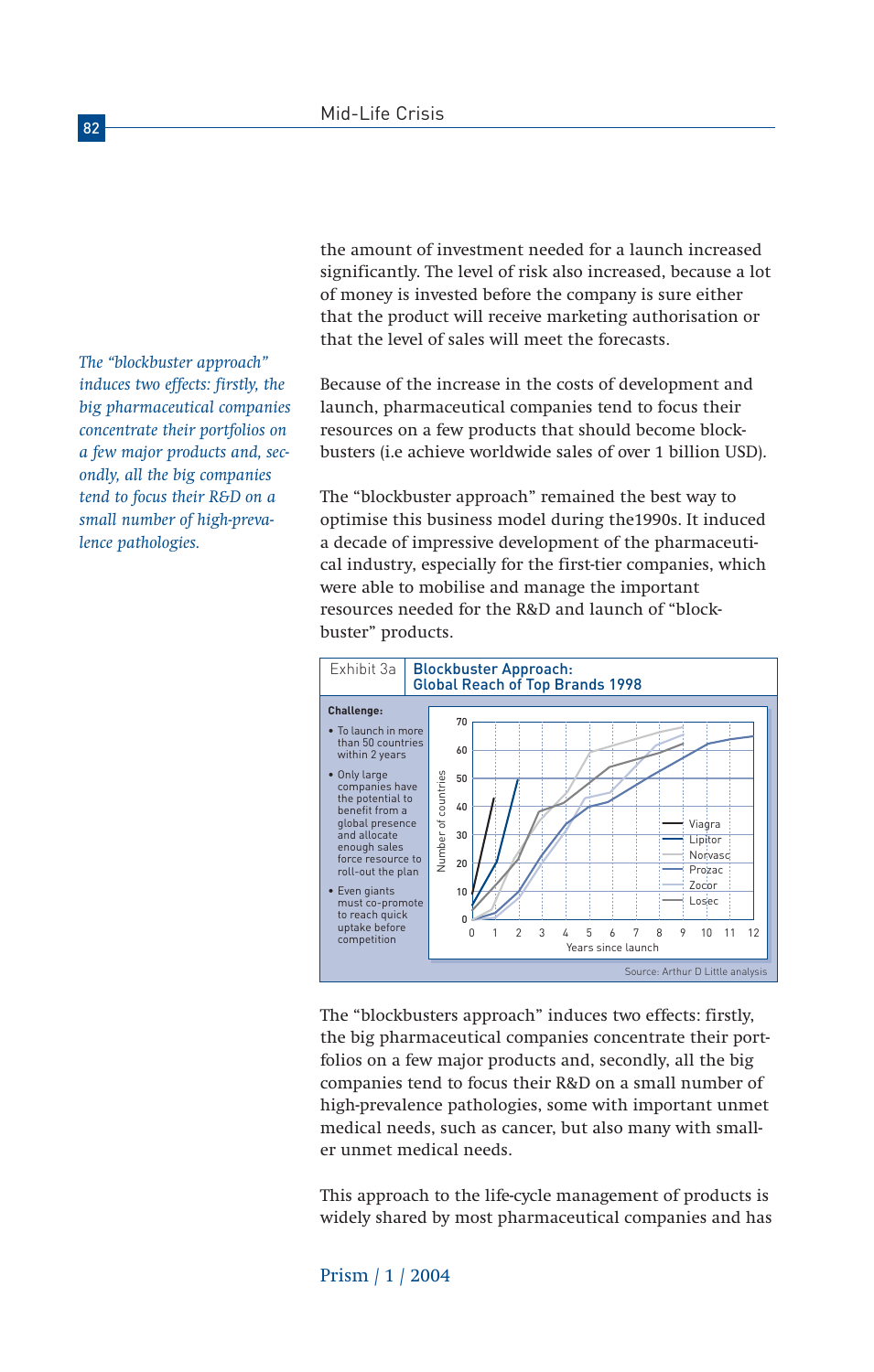*The "blockbuster approach" induces two effects: firstly, the big pharmaceutical companies concentrate their portfolios on a few major products and, secondly, all the big companies tend to focus their R&D on a small number of high-prevalence pathologies.*

the amount of investment needed for a launch increased significantly. The level of risk also increased, because a lot of money is invested before the company is sure either that the product will receive marketing authorisation or that the level of sales will meet the forecasts.

Because of the increase in the costs of development and launch, pharmaceutical companies tend to focus their resources on a few products that should become blockbusters (i.e achieve worldwide sales of over 1 billion USD).

The "blockbuster approach" remained the best way to optimise this business model during the1990s. It induced a decade of impressive development of the pharmaceutical industry, especially for the first-tier companies, which were able to mobilise and manage the important resources needed for the R&D and launch of "blockbuster" products.



The "blockbusters approach" induces two effects: firstly, the big pharmaceutical companies concentrate their portfolios on a few major products and, secondly, all the big companies tend to focus their R&D on a small number of high-prevalence pathologies, some with important unmet medical needs, such as cancer, but also many with smaller unmet medical needs.

This approach to the life-cycle management of products is widely shared by most pharmaceutical companies and has

Prism / 1 / 2004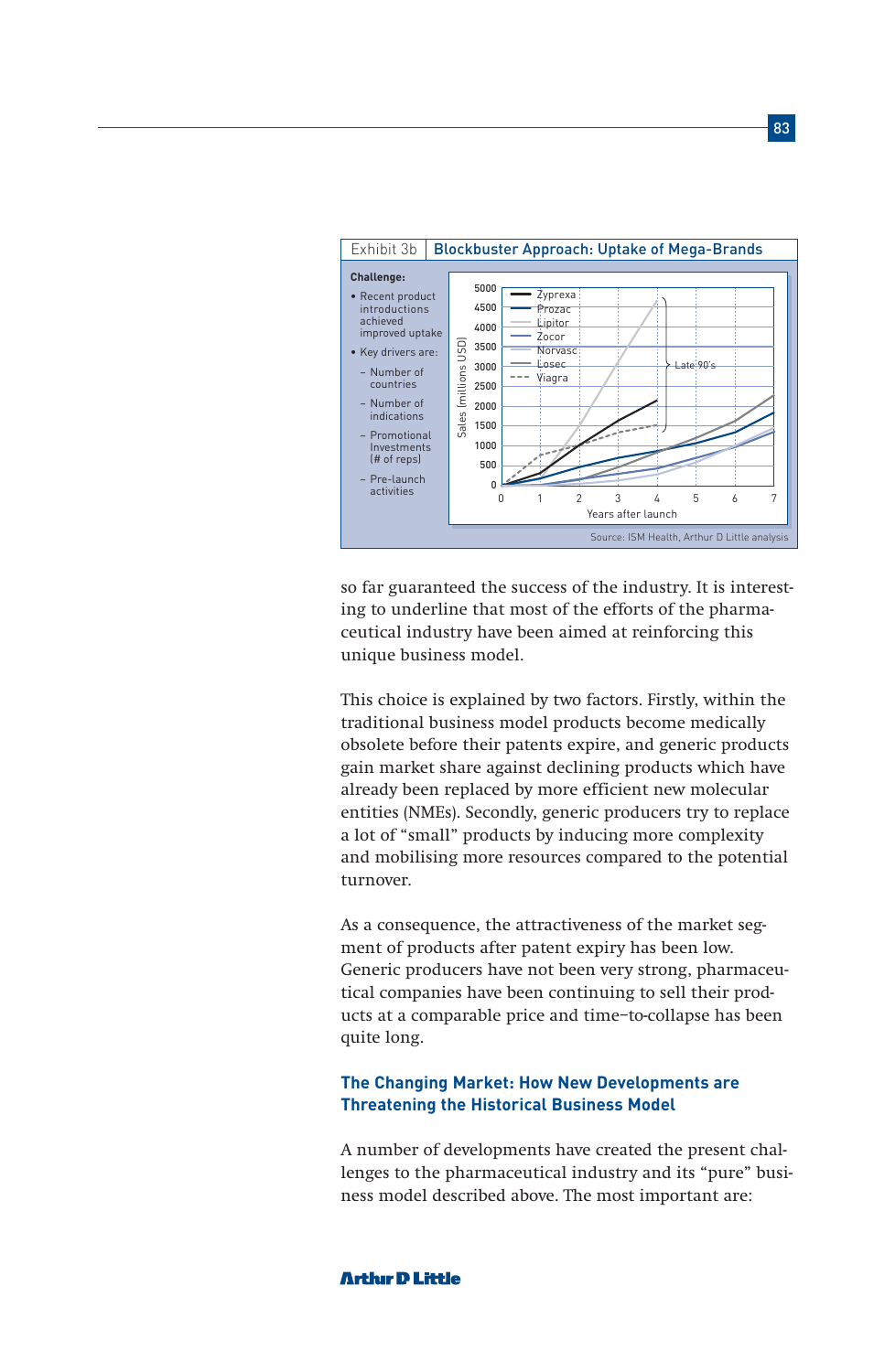

so far guaranteed the success of the industry. It is interesting to underline that most of the efforts of the pharmaceutical industry have been aimed at reinforcing this unique business model.

This choice is explained by two factors. Firstly, within the traditional business model products become medically obsolete before their patents expire, and generic products gain market share against declining products which have already been replaced by more efficient new molecular entities (NMEs). Secondly, generic producers try to replace a lot of "small" products by inducing more complexity and mobilising more resources compared to the potential turnover.

As a consequence, the attractiveness of the market segment of products after patent expiry has been low. Generic producers have not been very strong, pharmaceutical companies have been continuing to sell their products at a comparable price and time–to-collapse has been quite long.

## **The Changing Market: How New Developments are Threatening the Historical Business Model**

A number of developments have created the present challenges to the pharmaceutical industry and its "pure" business model described above. The most important are: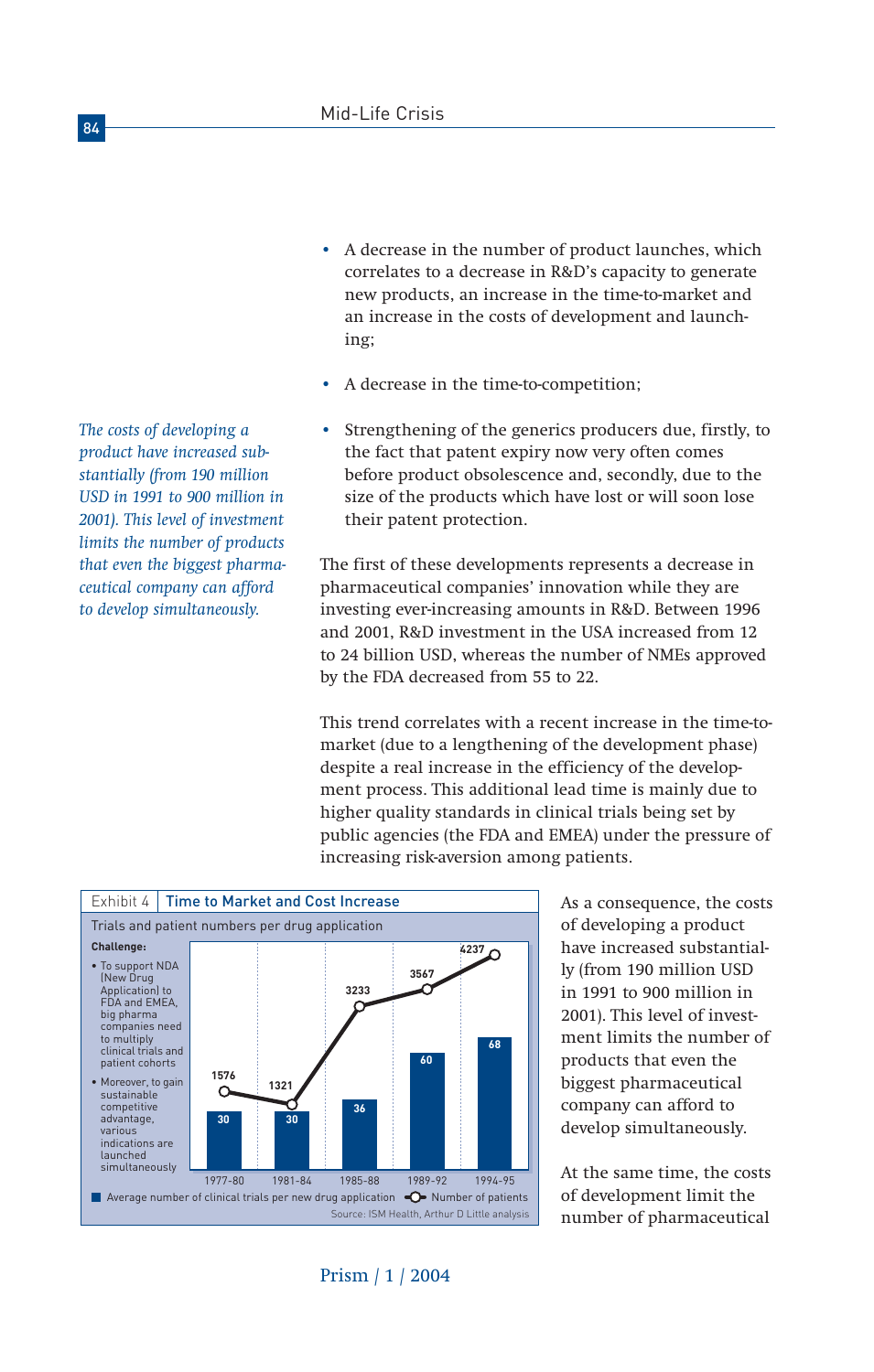• A decrease in the number of product launches, which correlates to a decrease in R&D's capacity to generate new products, an increase in the time-to-market and an increase in the costs of development and launching;

- A decrease in the time-to-competition;
- Strengthening of the generics producers due, firstly, to the fact that patent expiry now very often comes before product obsolescence and, secondly, due to the size of the products which have lost or will soon lose their patent protection.

The first of these developments represents a decrease in pharmaceutical companies' innovation while they are investing ever-increasing amounts in R&D. Between 1996 and 2001, R&D investment in the USA increased from 12 to 24 billion USD, whereas the number of NMEs approved by the FDA decreased from 55 to 22.

This trend correlates with a recent increase in the time-tomarket (due to a lengthening of the development phase) despite a real increase in the efficiency of the development process. This additional lead time is mainly due to higher quality standards in clinical trials being set by public agencies (the FDA and EMEA) under the pressure of increasing risk-aversion among patients.





At the same time, the costs of development limit the number of pharmaceutical

*The costs of developing a product have increased substantially (from 190 million USD in 1991 to 900 million in 2001). This level of investment limits the number of products that even the biggest pharmaceutical company can afford to develop simultaneously.*

Prism / 1 / 2004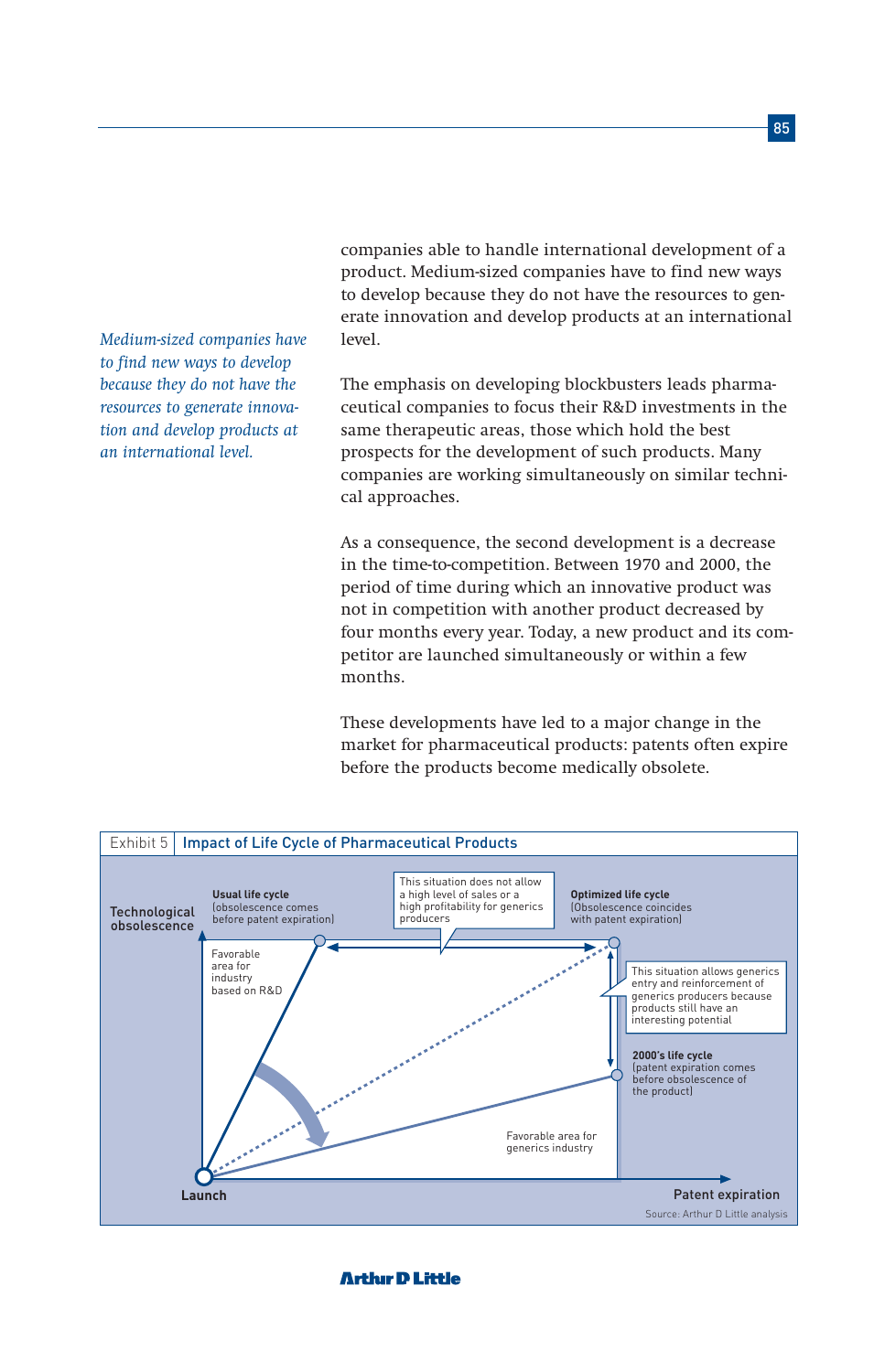*Medium-sized companies have to find new ways to develop because they do not have the resources to generate innovation and develop products at an international level.*

companies able to handle international development of a product. Medium-sized companies have to find new ways to develop because they do not have the resources to generate innovation and develop products at an international level.

The emphasis on developing blockbusters leads pharmaceutical companies to focus their R&D investments in the same therapeutic areas, those which hold the best prospects for the development of such products. Many companies are working simultaneously on similar technical approaches.

As a consequence, the second development is a decrease in the time-to-competition. Between 1970 and 2000, the period of time during which an innovative product was not in competition with another product decreased by four months every year. Today, a new product and its competitor are launched simultaneously or within a few months.

These developments have led to a major change in the market for pharmaceutical products: patents often expire before the products become medically obsolete.

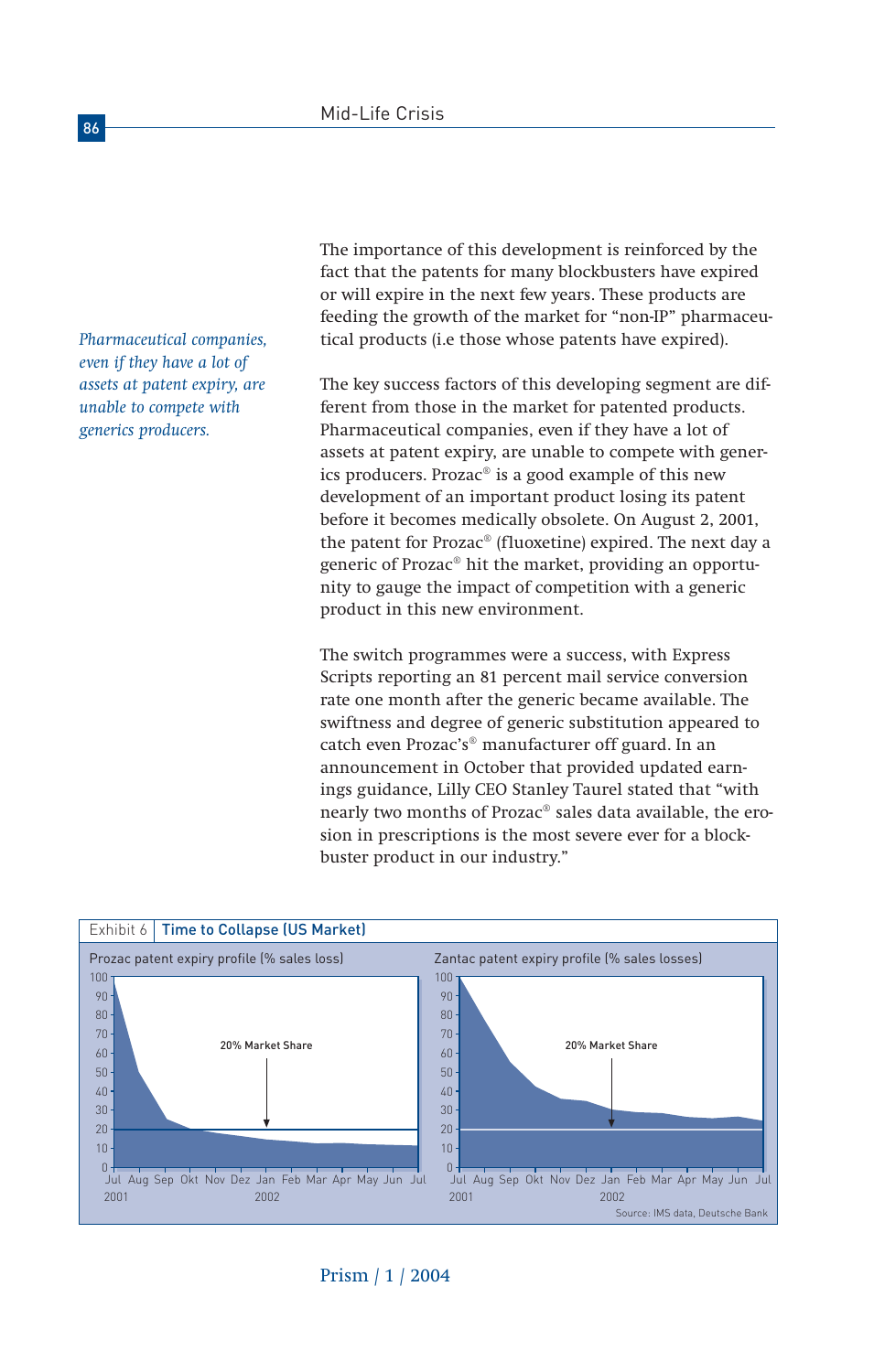*Pharmaceutical companies, even if they have a lot of assets at patent expiry, are unable to compete with generics producers.*

The importance of this development is reinforced by the fact that the patents for many blockbusters have expired or will expire in the next few years. These products are feeding the growth of the market for "non-IP" pharmaceutical products (i.e those whose patents have expired).

The key success factors of this developing segment are different from those in the market for patented products. Pharmaceutical companies, even if they have a lot of assets at patent expiry, are unable to compete with generics producers. Prozac® is a good example of this new development of an important product losing its patent before it becomes medically obsolete. On August 2, 2001, the patent for Prozac® (fluoxetine) expired. The next day a generic of Prozac® hit the market, providing an opportunity to gauge the impact of competition with a generic product in this new environment.

The switch programmes were a success, with Express Scripts reporting an 81 percent mail service conversion rate one month after the generic became available. The swiftness and degree of generic substitution appeared to catch even Prozac's® manufacturer off guard. In an announcement in October that provided updated earnings guidance, Lilly CEO Stanley Taurel stated that "with nearly two months of Prozac® sales data available, the erosion in prescriptions is the most severe ever for a blockbuster product in our industry."

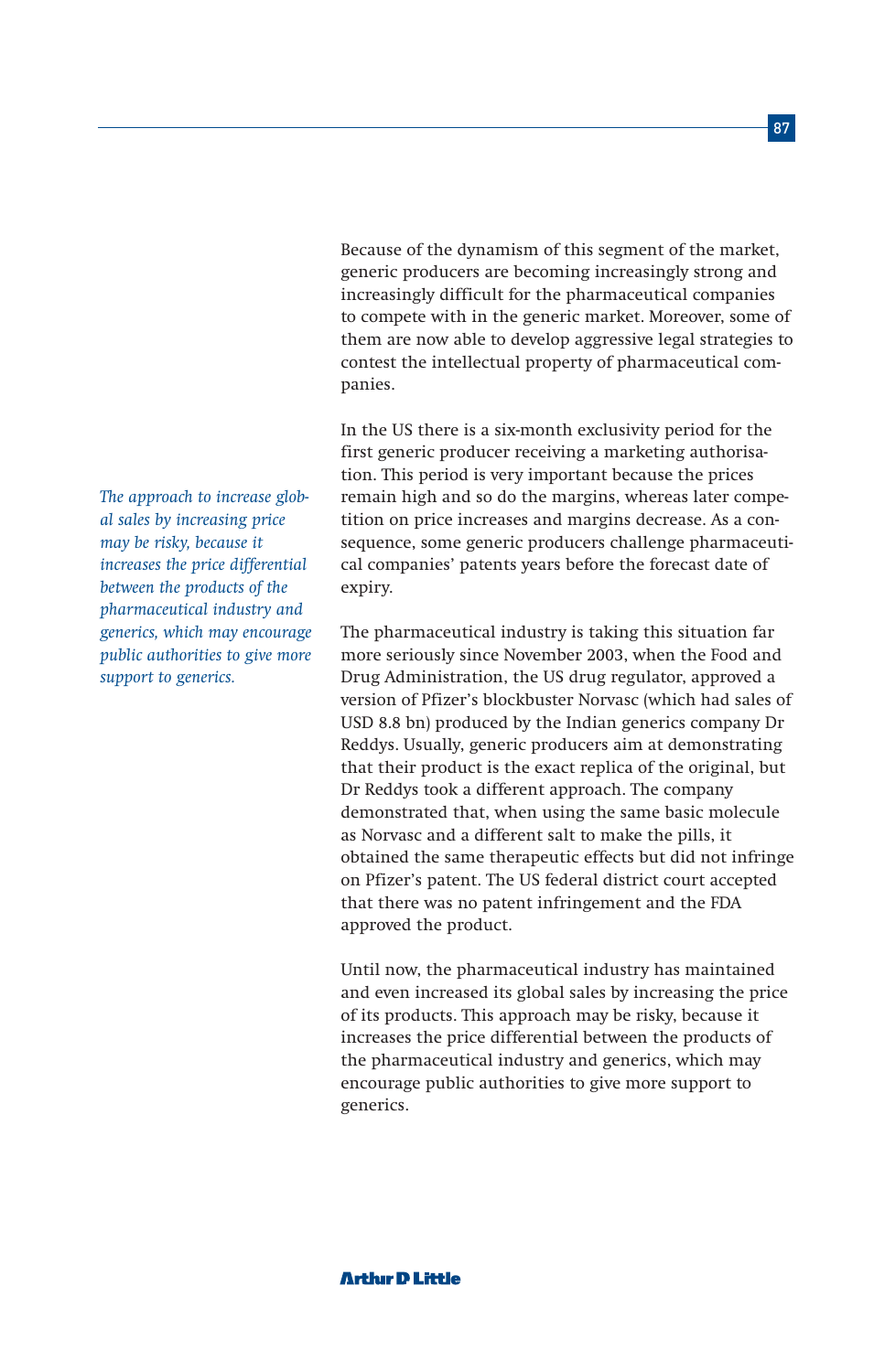Because of the dynamism of this segment of the market, generic producers are becoming increasingly strong and increasingly difficult for the pharmaceutical companies to compete with in the generic market. Moreover, some of them are now able to develop aggressive legal strategies to contest the intellectual property of pharmaceutical companies.

In the US there is a six-month exclusivity period for the first generic producer receiving a marketing authorisation. This period is very important because the prices remain high and so do the margins, whereas later competition on price increases and margins decrease. As a consequence, some generic producers challenge pharmaceutical companies' patents years before the forecast date of expiry.

The pharmaceutical industry is taking this situation far more seriously since November 2003, when the Food and Drug Administration, the US drug regulator, approved a version of Pfizer's blockbuster Norvasc (which had sales of USD 8.8 bn) produced by the Indian generics company Dr Reddys. Usually, generic producers aim at demonstrating that their product is the exact replica of the original, but Dr Reddys took a different approach. The company demonstrated that, when using the same basic molecule as Norvasc and a different salt to make the pills, it obtained the same therapeutic effects but did not infringe on Pfizer's patent. The US federal district court accepted that there was no patent infringement and the FDA approved the product.

Until now, the pharmaceutical industry has maintained and even increased its global sales by increasing the price of its products. This approach may be risky, because it increases the price differential between the products of the pharmaceutical industry and generics, which may encourage public authorities to give more support to generics.

*The approach to increase global sales by increasing price may be risky, because it increases the price differential between the products of the pharmaceutical industry and generics, which may encourage public authorities to give more support to generics.*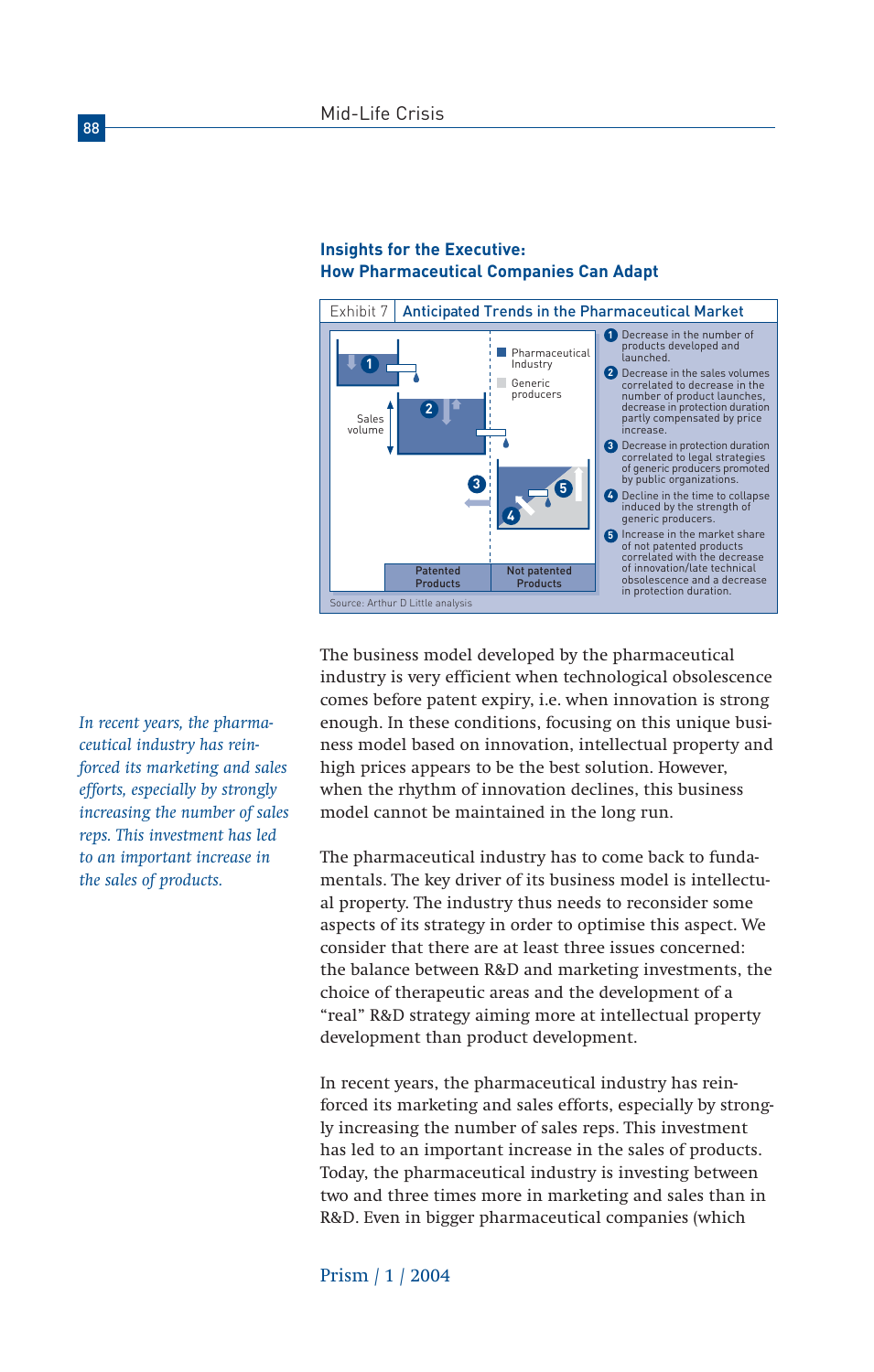

## **Insights for the Executive: How Pharmaceutical Companies Can Adapt**

*In recent years, the pharmaceutical industry has reinforced its marketing and sales efforts, especially by strongly increasing the number of sales reps. This investment has led to an important increase in the sales of products.*

The business model developed by the pharmaceutical industry is very efficient when technological obsolescence comes before patent expiry, i.e. when innovation is strong enough. In these conditions, focusing on this unique business model based on innovation, intellectual property and high prices appears to be the best solution. However, when the rhythm of innovation declines, this business model cannot be maintained in the long run.

The pharmaceutical industry has to come back to fundamentals. The key driver of its business model is intellectual property. The industry thus needs to reconsider some aspects of its strategy in order to optimise this aspect. We consider that there are at least three issues concerned: the balance between R&D and marketing investments, the choice of therapeutic areas and the development of a "real" R&D strategy aiming more at intellectual property development than product development.

In recent years, the pharmaceutical industry has reinforced its marketing and sales efforts, especially by strongly increasing the number of sales reps. This investment has led to an important increase in the sales of products. Today, the pharmaceutical industry is investing between two and three times more in marketing and sales than in R&D. Even in bigger pharmaceutical companies (which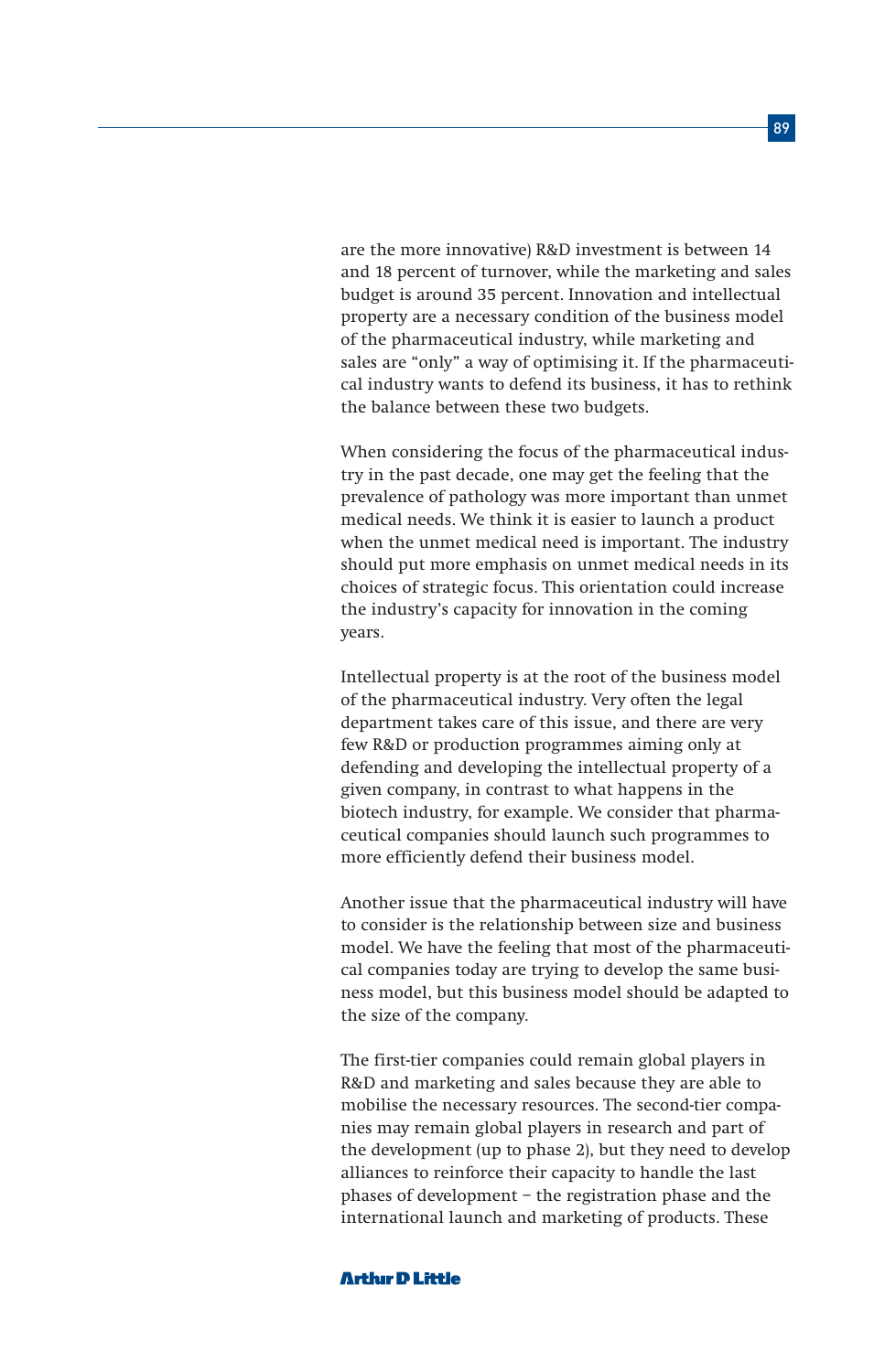are the more innovative) R&D investment is between 14 and 18 percent of turnover, while the marketing and sales budget is around 35 percent. Innovation and intellectual property are a necessary condition of the business model of the pharmaceutical industry, while marketing and sales are "only" a way of optimising it. If the pharmaceutical industry wants to defend its business, it has to rethink the balance between these two budgets.

When considering the focus of the pharmaceutical industry in the past decade, one may get the feeling that the prevalence of pathology was more important than unmet medical needs. We think it is easier to launch a product when the unmet medical need is important. The industry should put more emphasis on unmet medical needs in its choices of strategic focus. This orientation could increase the industry's capacity for innovation in the coming years.

Intellectual property is at the root of the business model of the pharmaceutical industry. Very often the legal department takes care of this issue, and there are very few R&D or production programmes aiming only at defending and developing the intellectual property of a given company, in contrast to what happens in the biotech industry, for example. We consider that pharmaceutical companies should launch such programmes to more efficiently defend their business model.

Another issue that the pharmaceutical industry will have to consider is the relationship between size and business model. We have the feeling that most of the pharmaceutical companies today are trying to develop the same business model, but this business model should be adapted to the size of the company.

The first-tier companies could remain global players in R&D and marketing and sales because they are able to mobilise the necessary resources. The second-tier companies may remain global players in research and part of the development (up to phase 2), but they need to develop alliances to reinforce their capacity to handle the last phases of development – the registration phase and the international launch and marketing of products. These

#### **Arthir D Little**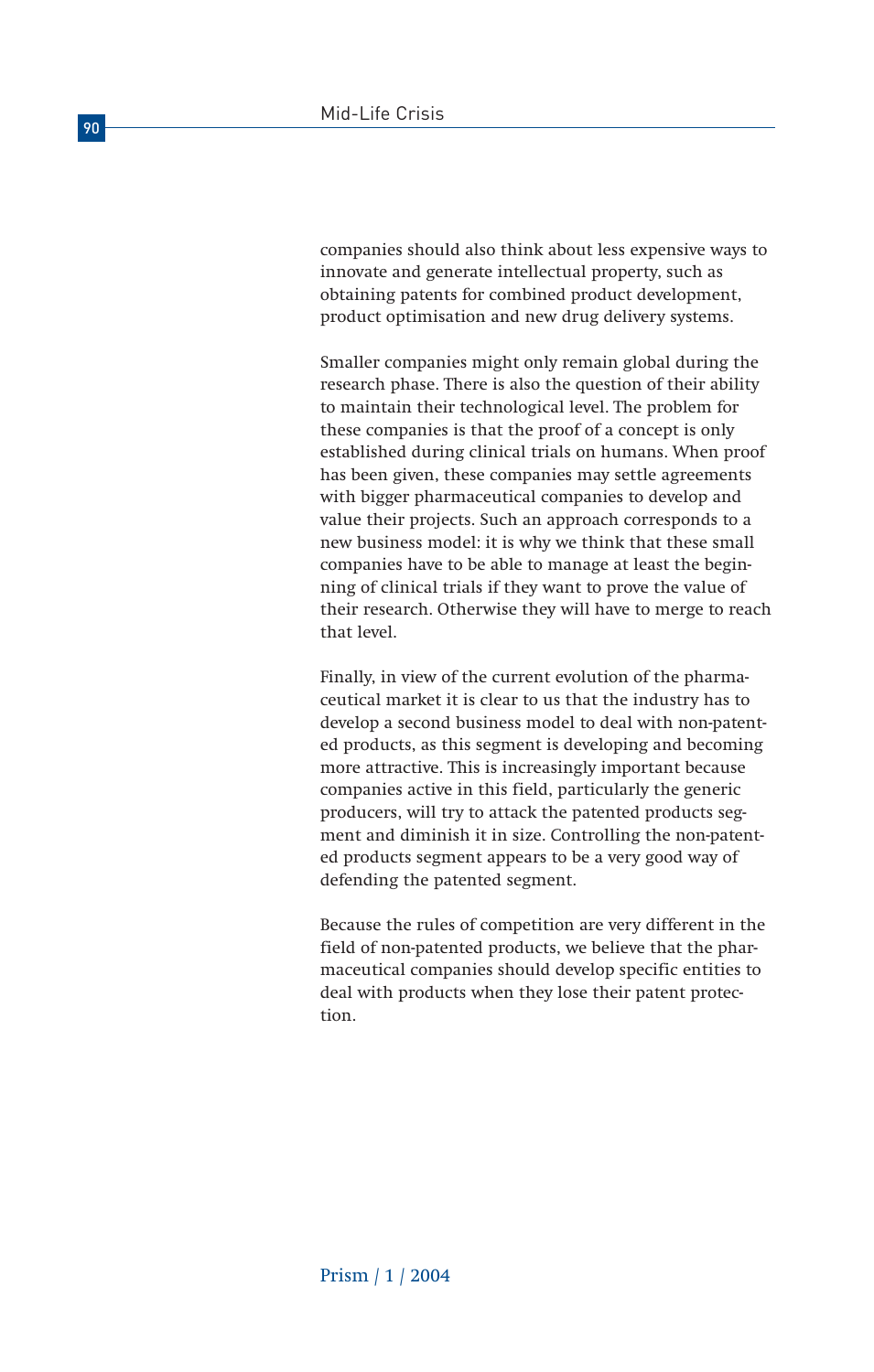companies should also think about less expensive ways to innovate and generate intellectual property, such as obtaining patents for combined product development, product optimisation and new drug delivery systems.

Smaller companies might only remain global during the research phase. There is also the question of their ability to maintain their technological level. The problem for these companies is that the proof of a concept is only established during clinical trials on humans. When proof has been given, these companies may settle agreements with bigger pharmaceutical companies to develop and value their projects. Such an approach corresponds to a new business model: it is why we think that these small companies have to be able to manage at least the beginning of clinical trials if they want to prove the value of their research. Otherwise they will have to merge to reach that level.

Finally, in view of the current evolution of the pharmaceutical market it is clear to us that the industry has to develop a second business model to deal with non-patented products, as this segment is developing and becoming more attractive. This is increasingly important because companies active in this field, particularly the generic producers, will try to attack the patented products segment and diminish it in size. Controlling the non-patented products segment appears to be a very good way of defending the patented segment.

Because the rules of competition are very different in the field of non-patented products, we believe that the pharmaceutical companies should develop specific entities to deal with products when they lose their patent protection.

90